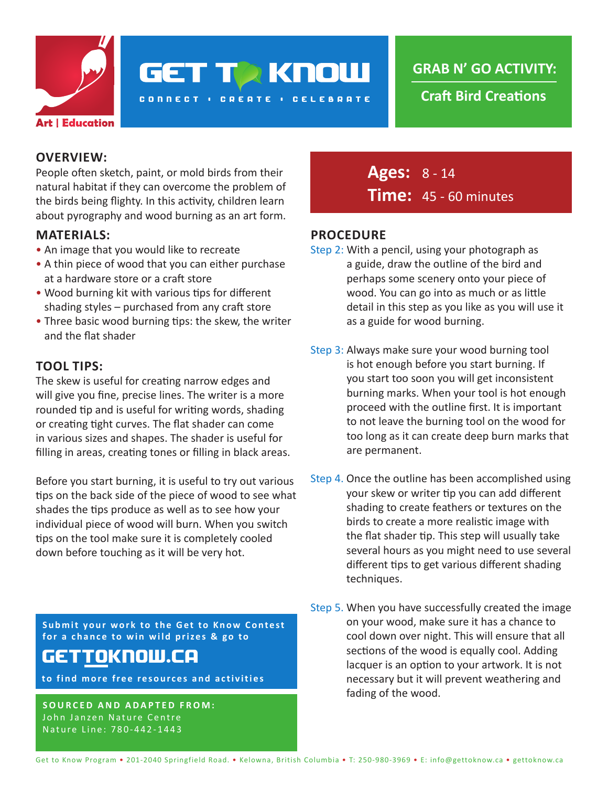

**GET TA KNOW** 

**CONNECT : CREATE : CELEBRATE** 

**Craft Bird Creations**

#### **OVERVIEW:**

People often sketch, paint, or mold birds from their natural habitat if they can overcome the problem of the birds being flighty. In this activity, children learn about pyrography and wood burning as an art form.

#### **MATERIALS:**

- An image that you would like to recreate
- A thin piece of wood that you can either purchase at a hardware store or a craft store
- Wood burning kit with various tips for different shading styles – purchased from any craft store
- Three basic wood burning tips: the skew, the writer and the flat shader

## **TOOL TIPS:**

The skew is useful for creating narrow edges and will give you fine, precise lines. The writer is a more rounded tip and is useful for writing words, shading or creating tight curves. The flat shader can come in various sizes and shapes. The shader is useful for filling in areas, creating tones or filling in black areas.

Before you start burning, it is useful to try out various tips on the back side of the piece of wood to see what shades the tips produce as well as to see how your individual piece of wood will burn. When you switch tips on the tool make sure it is completely cooled down before touching as it will be very hot.

**Submit your work to the Get to Know Contest for a chance to win wild prizes & go to**

# GET<u>TO</u>KNOW.CA

**to find more free resources and activities**

**SOURCED AND ADAPTED FROM:** John Janzen Nature Centre Nature Line: 780-442-1443

**Ages:** 8 - 14 **Time:** 45 - 60 minutes

#### **PROCEDURE**

- Step 2: With a pencil, using your photograph as a guide, draw the outline of the bird and perhaps some scenery onto your piece of wood. You can go into as much or as little detail in this step as you like as you will use it as a guide for wood burning.
- Step 3: Always make sure your wood burning tool is hot enough before you start burning. If you start too soon you will get inconsistent burning marks. When your tool is hot enough proceed with the outline first. It is important to not leave the burning tool on the wood for too long as it can create deep burn marks that are permanent.
- Step 4. Once the outline has been accomplished using your skew or writer tip you can add different shading to create feathers or textures on the birds to create a more realistic image with the flat shader tip. This step will usually take several hours as you might need to use several different tips to get various different shading techniques.
- Step 5. When you have successfully created the image on your wood, make sure it has a chance to cool down over night. This will ensure that all sections of the wood is equally cool. Adding lacquer is an option to your artwork. It is not necessary but it will prevent weathering and fading of the wood.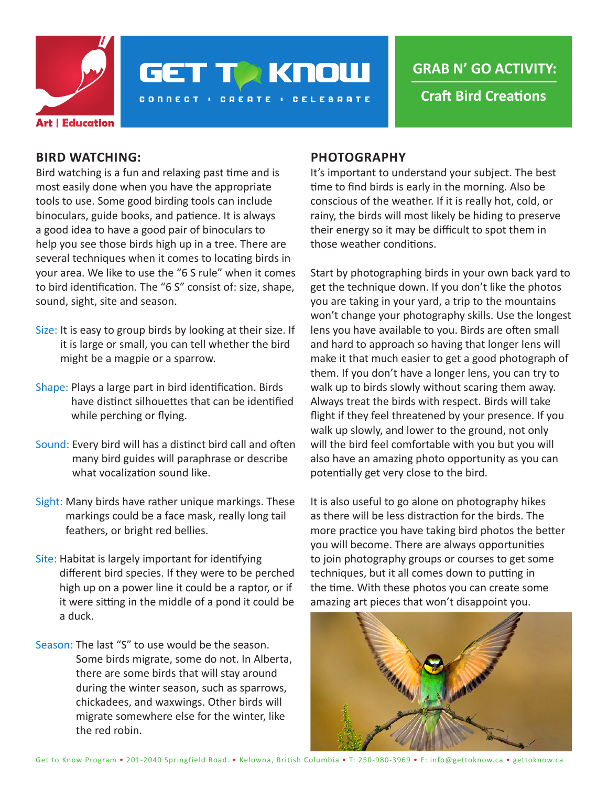

**GET TO KNOW** 

**CONNECT : CREATE : CELEBRATE** 

**GRAB N' GO ACTIVITY:**

**Craft Bird Creations**

#### **BIRD WATCHING:**

Bird watching is a fun and relaxing past time and is most easily done when you have the appropriate tools to use. Some good birding tools can include binoculars, guide books, and patience. It is always a good idea to have a good pair of binoculars to help you see those birds high up in a tree. There are several techniques when it comes to locating birds in your area. We like to use the "6 S rule" when it comes to bird identification. The "6 S" consist of: size, shape, sound, sight, site and season.

- Size: It is easy to group birds by looking at their size. If it is large or small, you can tell whether the bird might be a magpie or a sparrow.
- Shape: Plays a large part in bird identification. Birds have distinct silhouettes that can be identified while perching or flying.
- Sound: Every bird will has a distinct bird call and often many bird guides will paraphrase or describe what vocalization sound like.
- Sight: Many birds have rather unique markings. These markings could be a face mask, really long tail feathers, or bright red bellies.
- Site: Habitat is largely important for identifying different bird species. If they were to be perched high up on a power line it could be a raptor, or if it were sitting in the middle of a pond it could be a duck.
- Season: The last "S" to use would be the season. Some birds migrate, some do not. In Alberta, there are some birds that will stay around during the winter season, such as sparrows, chickadees, and waxwings. Other birds will migrate somewhere else for the winter, like the red robin.

#### **PHOTOGRAPHY**

It's important to understand your subject. The best time to find birds is early in the morning. Also be conscious of the weather. If it is really hot, cold, or rainy, the birds will most likely be hiding to preserve their energy so it may be difficult to spot them in those weather conditions.

Start by photographing birds in your own back yard to get the technique down. If you don't like the photos you are taking in your yard, a trip to the mountains won't change your photography skills. Use the longest lens you have available to you. Birds are often small and hard to approach so having that longer lens will make it that much easier to get a good photograph of them. If you don't have a longer lens, you can try to walk up to birds slowly without scaring them away. Always treat the birds with respect. Birds will take flight if they feel threatened by your presence. If you walk up slowly, and lower to the ground, not only will the bird feel comfortable with you but you will also have an amazing photo opportunity as you can potentially get very close to the bird.

It is also useful to go alone on photography hikes as there will be less distraction for the birds. The more practice you have taking bird photos the better you will become. There are always opportunities to join photography groups or courses to get some techniques, but it all comes down to putting in the time. With these photos you can create some amazing art pieces that won't disappoint you.